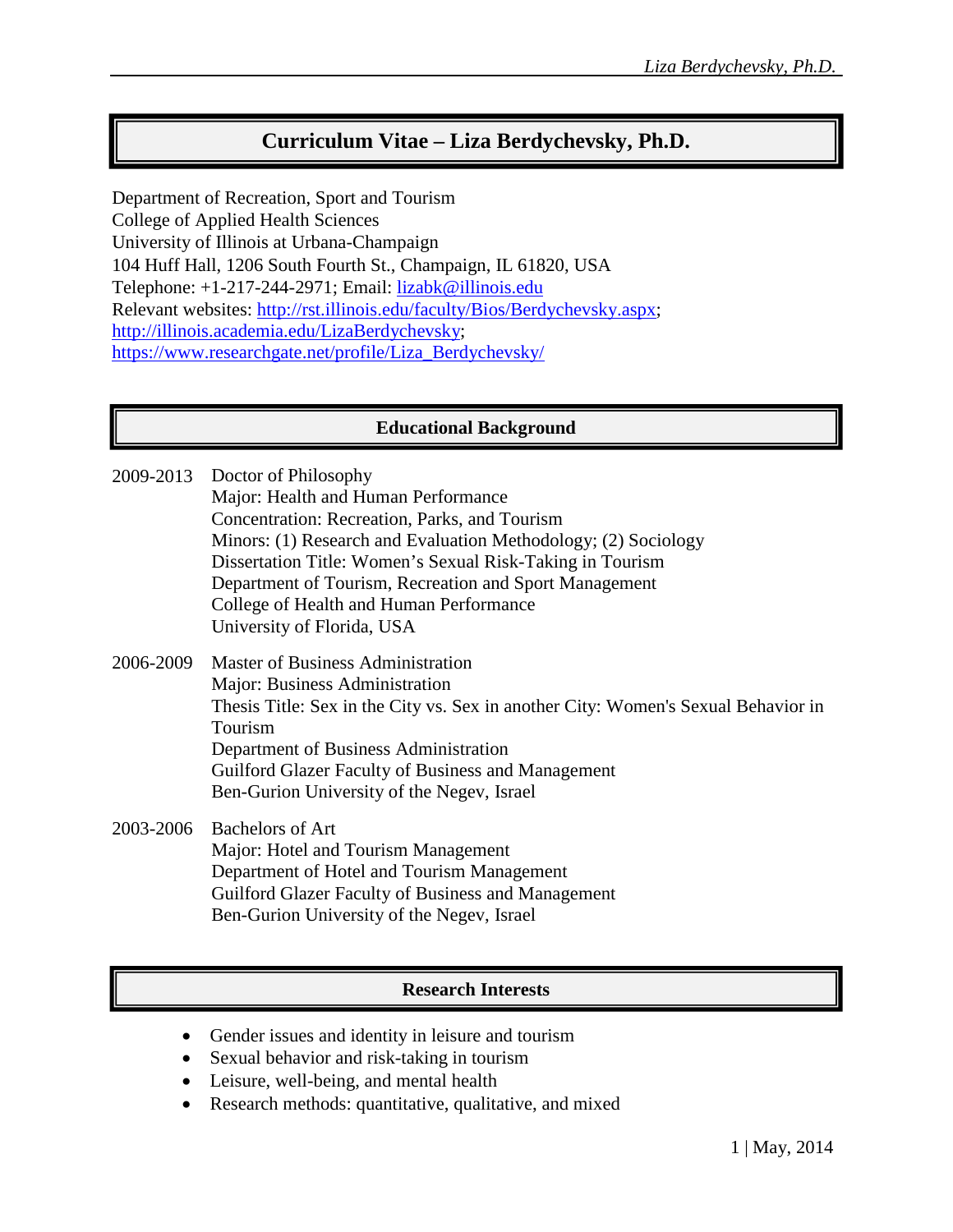# **Curriculum Vitae – Liza Berdychevsky, Ph.D.**

Department of Recreation, Sport and Tourism College of Applied Health Sciences University of Illinois at Urbana-Champaign 104 Huff Hall, 1206 South Fourth St., Champaign, IL 61820, USA Telephone: +1-217-244-2971; Email: lizabk@illinois.edu Relevant websites: http://rst.illinois.edu/faculty/Bios/Berdychevsky.aspx; http://illinois.academia.edu/LizaBerdychevsky; https://www.researchgate.net/profile/Liza\_Berdychevsky/

### **Educational Background**

- 2009-2013 Doctor of Philosophy Major: Health and Human Performance Concentration: Recreation, Parks, and Tourism Minors: (1) Research and Evaluation Methodology; (2) Sociology Dissertation Title: Women's Sexual Risk-Taking in Tourism Department of Tourism, Recreation and Sport Management College of Health and Human Performance University of Florida, USA 2006-2009 Master of Business Administration Major: Business Administration
	- Thesis Title: Sex in the City vs. Sex in another City: Women's Sexual Behavior in Tourism Department of Business Administration Guilford Glazer Faculty of Business and Management Ben-Gurion University of the Negev, Israel

2003-2006 Bachelors of Art Major: Hotel and Tourism Management Department of Hotel and Tourism Management Guilford Glazer Faculty of Business and Management Ben-Gurion University of the Negev, Israel

#### **Research Interests**

- Gender issues and identity in leisure and tourism
- Sexual behavior and risk-taking in tourism
- Leisure, well-being, and mental health
- Research methods: quantitative, qualitative, and mixed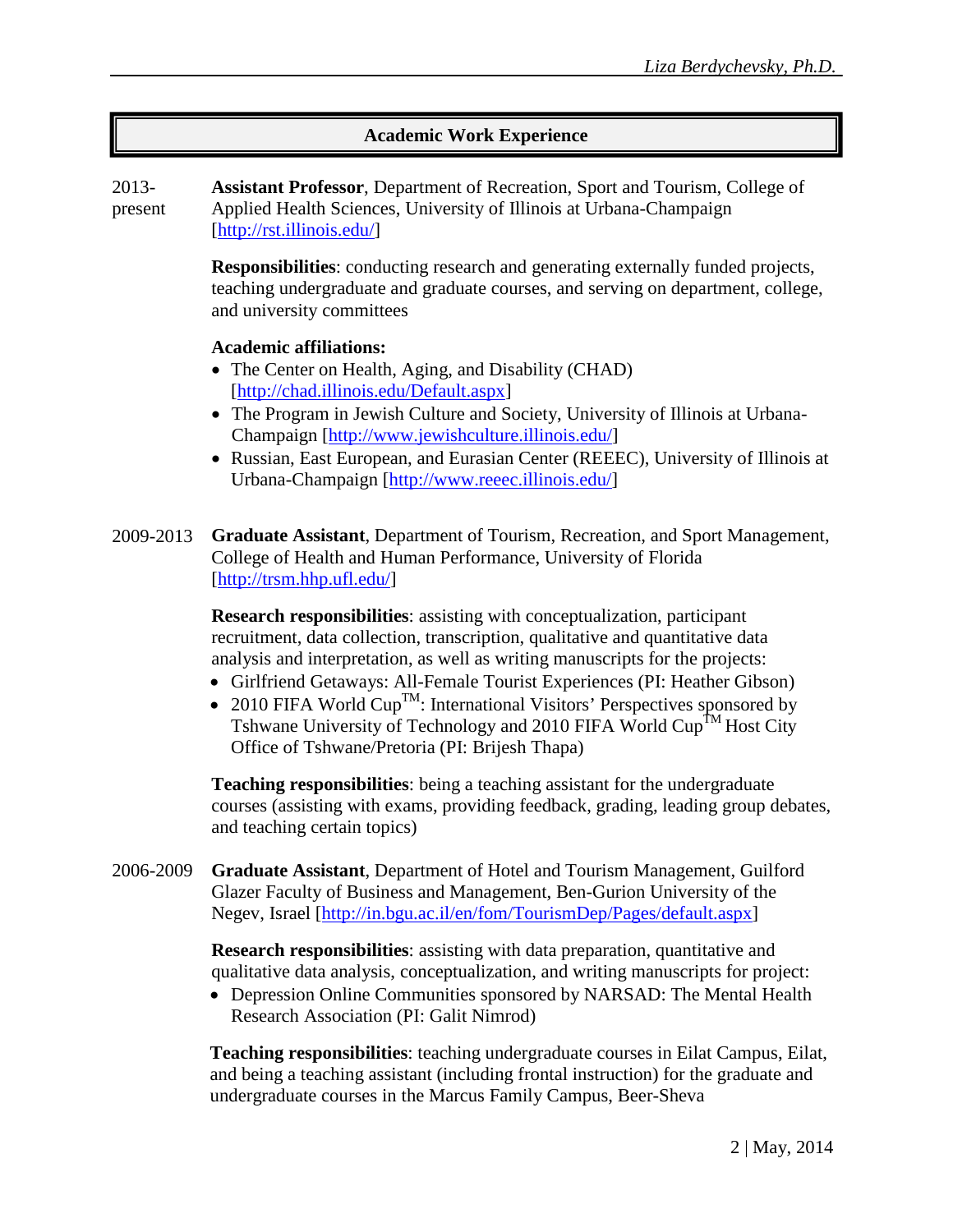### **Academic Work Experience**

2013 present **Assistant Professor**, Department of Recreation, Sport and Tourism, College of Applied Health Sciences, University of Illinois at Urbana-Champaign [http://rst.illinois.edu/]

> **Responsibilities**: conducting research and generating externally funded projects, teaching undergraduate and graduate courses, and serving on department, college, and university committees

#### **Academic affiliations:**

- The Center on Health, Aging, and Disability (CHAD) [http://chad.illinois.edu/Default.aspx]
- The Program in Jewish Culture and Society, University of Illinois at Urbana-Champaign [http://www.jewishculture.illinois.edu/]
- Russian, East European, and Eurasian Center (REEEC), University of Illinois at Urbana-Champaign [http://www.reeec.illinois.edu/]

2009-2013 **Graduate Assistant**, Department of Tourism, Recreation, and Sport Management, College of Health and Human Performance, University of Florida [http://trsm.hhp.ufl.edu/]

> **Research responsibilities**: assisting with conceptualization, participant recruitment, data collection, transcription, qualitative and quantitative data analysis and interpretation, as well as writing manuscripts for the projects:

- Girlfriend Getaways: All-Female Tourist Experiences (PI: Heather Gibson)
- 2010 FIFA World  $Cup^{TM}$ : International Visitors' Perspectives sponsored by Tshwane University of Technology and 2010 FIFA World Cup<sup>TM</sup> Host City Office of Tshwane/Pretoria (PI: Brijesh Thapa)

**Teaching responsibilities**: being a teaching assistant for the undergraduate courses (assisting with exams, providing feedback, grading, leading group debates, and teaching certain topics)

2006-2009 **Graduate Assistant**, Department of Hotel and Tourism Management, Guilford Glazer Faculty of Business and Management, Ben-Gurion University of the Negev, Israel [http://in.bgu.ac.il/en/fom/TourismDep/Pages/default.aspx]

> **Research responsibilities**: assisting with data preparation, quantitative and qualitative data analysis, conceptualization, and writing manuscripts for project:

> • Depression Online Communities sponsored by NARSAD: The Mental Health Research Association (PI: Galit Nimrod)

**Teaching responsibilities**: teaching undergraduate courses in Eilat Campus, Eilat, and being a teaching assistant (including frontal instruction) for the graduate and undergraduate courses in the Marcus Family Campus, Beer-Sheva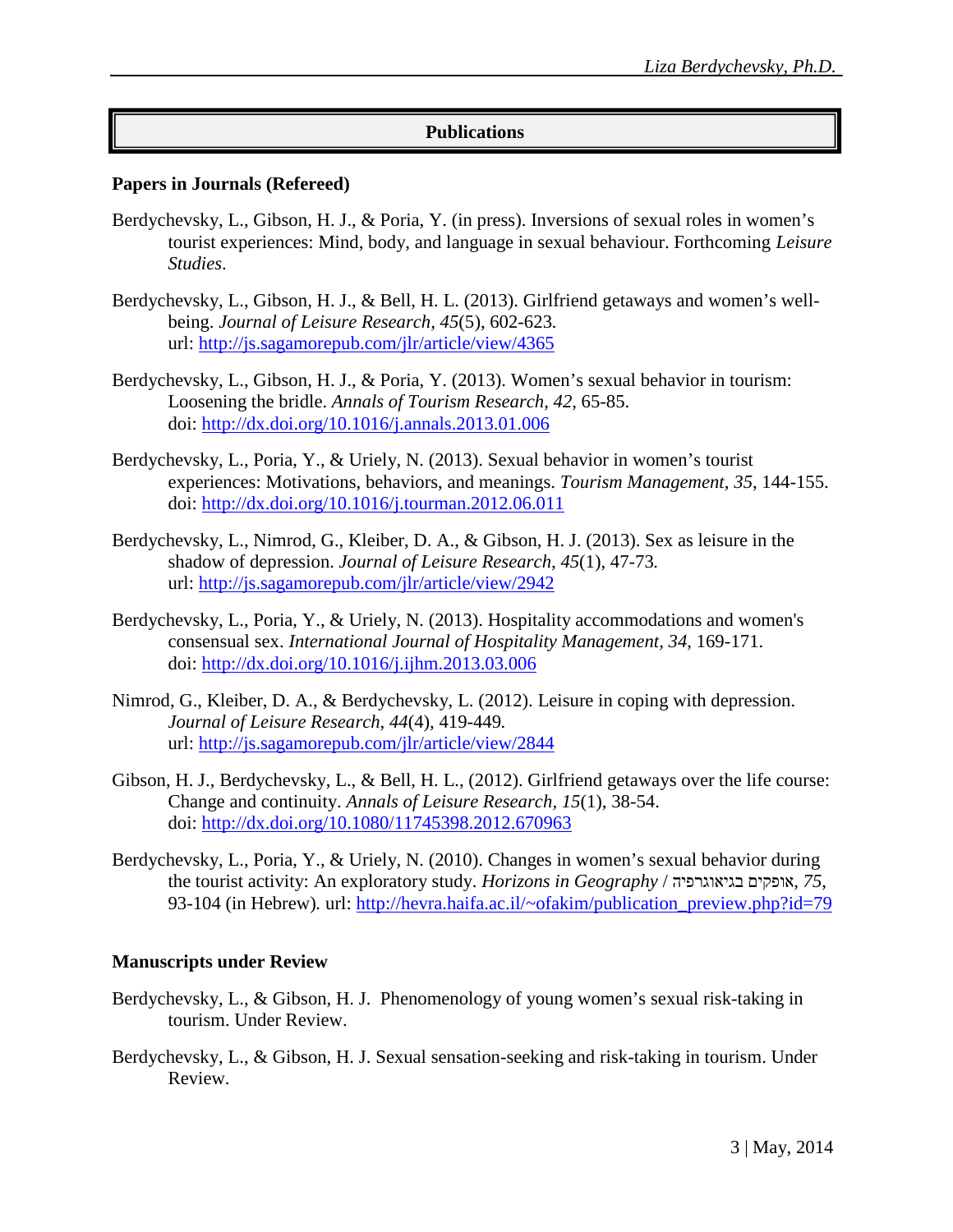### **Publications**

#### **Papers in Journals (Refereed)**

- Berdychevsky, L., Gibson, H. J., & Poria, Y. (in press). Inversions of sexual roles in women's tourist experiences: Mind, body, and language in sexual behaviour. Forthcoming *Leisure Studies*.
- Berdychevsky, L., Gibson, H. J., & Bell, H. L. (2013). Girlfriend getaways and women's wellbeing. *Journal of Leisure Research, 45*(5), 602-623*.*  url: http://js.sagamorepub.com/jlr/article/view/4365
- Berdychevsky, L., Gibson, H. J., & Poria, Y. (2013). Women's sexual behavior in tourism: Loosening the bridle. *Annals of Tourism Research, 42*, 65-85. doi: http://dx.doi.org/10.1016/j.annals.2013.01.006
- Berdychevsky, L., Poria, Y., & Uriely, N. (2013). Sexual behavior in women's tourist experiences: Motivations, behaviors, and meanings. *Tourism Management, 35*, 144-155. doi: http://dx.doi.org/10.1016/j.tourman.2012.06.011
- Berdychevsky, L., Nimrod, G., Kleiber, D. A., & Gibson, H. J. (2013). Sex as leisure in the shadow of depression. *Journal of Leisure Research, 45*(1), 47-73*.* url: http://js.sagamorepub.com/jlr/article/view/2942
- Berdychevsky, L., Poria, Y., & Uriely, N. (2013). Hospitality accommodations and women's consensual sex. *International Journal of Hospitality Management, 34*, 169-171. doi: http://dx.doi.org/10.1016/j.ijhm.2013.03.006
- Nimrod, G., Kleiber, D. A., & Berdychevsky, L. (2012). Leisure in coping with depression. *Journal of Leisure Research, 44*(4), 419-449*.* url: http://js.sagamorepub.com/jlr/article/view/2844
- Gibson, H. J., Berdychevsky, L., & Bell, H. L., (2012). Girlfriend getaways over the life course: Change and continuity. *Annals of Leisure Research, 15*(1), 38-54. doi: http://dx.doi.org/10.1080/11745398.2012.670963
- Berdychevsky, L., Poria, Y., & Uriely, N. (2010). Changes in women's sexual behavior during the tourist activity: An exploratory study. *Horizons in Geography* / בגיאוגרפיה אופקים*, 75*, 93-104 (in Hebrew). url: http://hevra.haifa.ac.il/~ofakim/publication\_preview.php?id=79

#### **Manuscripts under Review**

- Berdychevsky, L., & Gibson, H. J. Phenomenology of young women's sexual risk-taking in tourism. Under Review.
- Berdychevsky, L., & Gibson, H. J. Sexual sensation-seeking and risk-taking in tourism. Under Review.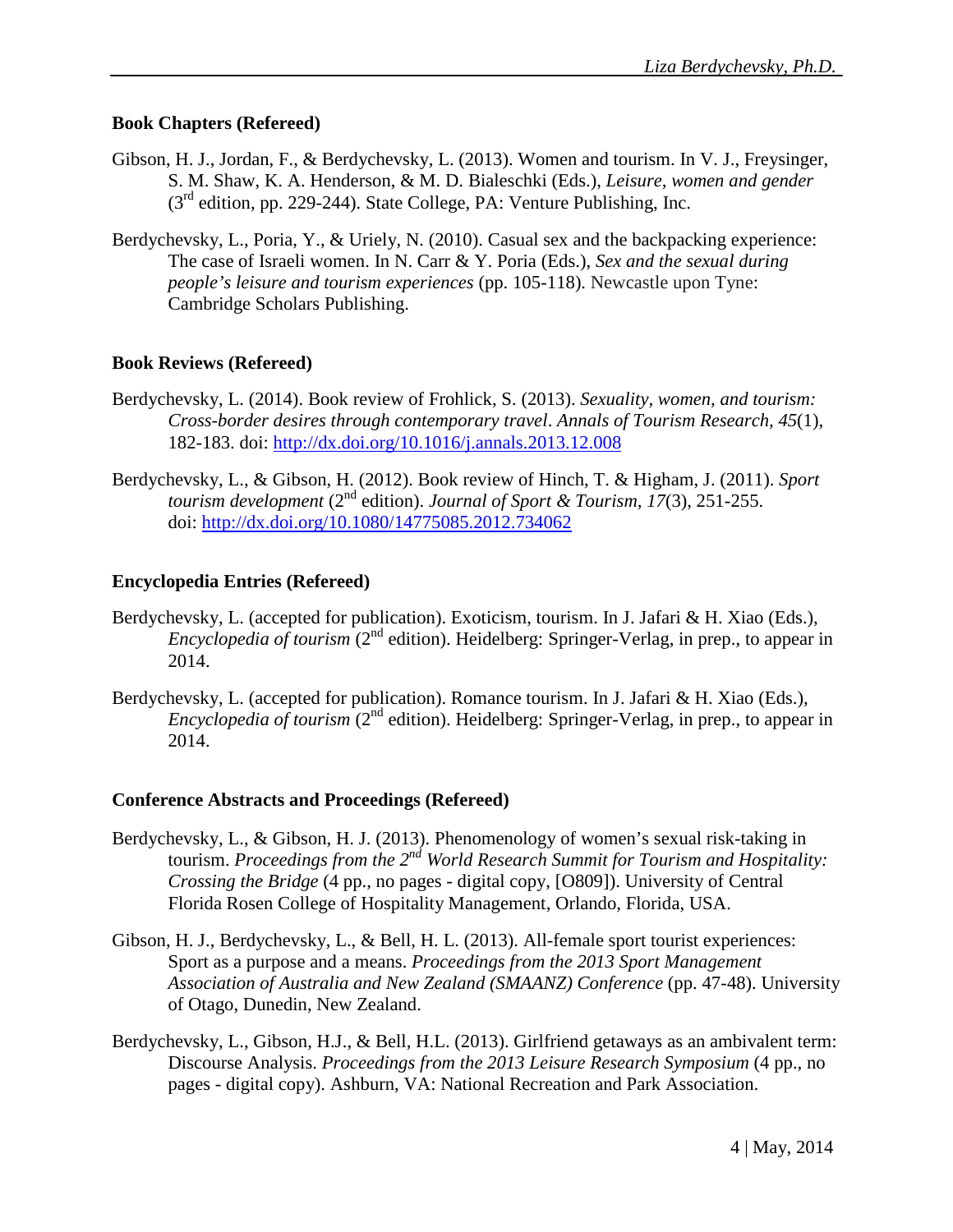### **Book Chapters (Refereed)**

- Gibson, H. J., Jordan, F., & Berdychevsky, L. (2013). Women and tourism. In V. J., Freysinger, S. M. Shaw, K. A. Henderson, & M. D. Bialeschki (Eds.), *Leisure, women and gender* (3rd edition, pp. 229-244). State College, PA: Venture Publishing, Inc.
- Berdychevsky, L., Poria, Y., & Uriely, N. (2010). Casual sex and the backpacking experience: The case of Israeli women. In N. Carr & Y. Poria (Eds.), *Sex and the sexual during people's leisure and tourism experiences* (pp. 105-118). Newcastle upon Tyne: Cambridge Scholars Publishing.

### **Book Reviews (Refereed)**

- Berdychevsky, L. (2014). Book review of Frohlick, S. (2013). *Sexuality, women, and tourism: Cross-border desires through contemporary travel*. *Annals of Tourism Research, 45*(1), 182-183. doi: http://dx.doi.org/10.1016/j.annals.2013.12.008
- Berdychevsky, L., & Gibson, H. (2012). Book review of Hinch, T. & Higham, J. (2011). *Sport tourism development* (2nd edition). *[Journal of Sport](http://www.tandf.co.uk/journals/titles/14775085.asp) & Tourism, 17*(3), 251-255. doi: http://dx.doi.org/10.1080/14775085.2012.734062

### **Encyclopedia Entries (Refereed)**

- Berdychevsky, L. (accepted for publication). Exoticism, tourism. In J. Jafari & H. Xiao (Eds.), *Encyclopedia of tourism* (2<sup>nd</sup> edition). Heidelberg: Springer-Verlag, in prep., to appear in 2014.
- Berdychevsky, L. (accepted for publication). Romance tourism. In J. Jafari & H. Xiao (Eds.), *Encyclopedia of tourism* (2<sup>nd</sup> edition). Heidelberg: Springer-Verlag, in prep., to appear in 2014.

# **Conference Abstracts and Proceedings (Refereed)**

- Berdychevsky, L., & Gibson, H. J. (2013). Phenomenology of women's sexual risk-taking in tourism. *Proceedings from the 2nd World Research Summit for Tourism and Hospitality: Crossing the Bridge* (4 pp., no pages - digital copy, [O809]). University of Central Florida Rosen College of Hospitality Management, Orlando, Florida, USA.
- Gibson, H. J., Berdychevsky, L., & Bell, H. L. (2013). All-female sport tourist experiences: Sport as a purpose and a means. *Proceedings from the 2013 Sport Management Association of Australia and New Zealand (SMAANZ) Conference* (pp. 47-48). University of Otago, Dunedin, New Zealand.
- Berdychevsky, L., Gibson, H.J., & Bell, H.L. (2013). Girlfriend getaways as an ambivalent term: Discourse Analysis. *Proceedings from the 2013 Leisure Research Symposium* (4 pp., no pages - digital copy). Ashburn, VA: National Recreation and Park Association.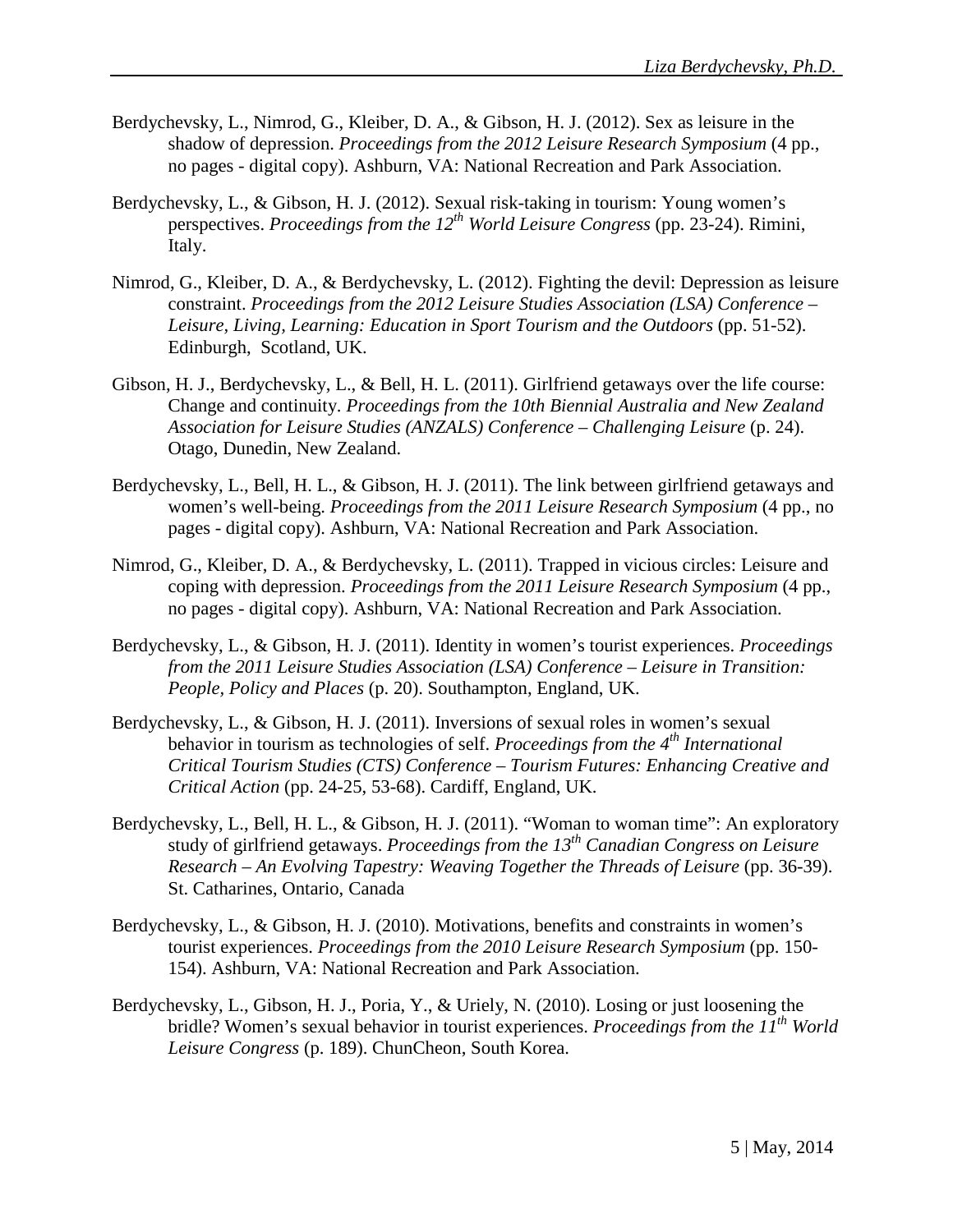- Berdychevsky, L., Nimrod, G., Kleiber, D. A., & Gibson, H. J. (2012). Sex as leisure in the shadow of depression. *Proceedings from the 2012 Leisure Research Symposium* (4 pp., no pages - digital copy). Ashburn, VA: National Recreation and Park Association.
- Berdychevsky, L., & Gibson, H. J. (2012). Sexual risk-taking in tourism: Young women's perspectives. *Proceedings from the 12th World Leisure Congress* (pp. 23-24). Rimini, Italy.
- Nimrod, G., Kleiber, D. A., & Berdychevsky, L. (2012). Fighting the devil: Depression as leisure constraint. *Proceedings from the 2012 Leisure Studies Association (LSA) Conference – Leisure, Living, Learning: Education in Sport Tourism and the Outdoors* (pp. 51-52). Edinburgh, Scotland, UK.
- Gibson, H. J., Berdychevsky, L., & Bell, H. L. (2011). Girlfriend getaways over the life course: Change and continuity. *Proceedings from the 10th Biennial Australia and New Zealand Association for Leisure Studies (ANZALS) Conference – Challenging Leisure* (p. 24). Otago, Dunedin, New Zealand.
- Berdychevsky, L., Bell, H. L., & Gibson, H. J. (2011). The link between girlfriend getaways and women's well-being. *Proceedings from the 2011 Leisure Research Symposium* (4 pp., no pages - digital copy). Ashburn, VA: National Recreation and Park Association.
- Nimrod, G., Kleiber, D. A., & Berdychevsky, L. (2011). Trapped in vicious circles: Leisure and coping with depression. *Proceedings from the 2011 Leisure Research Symposium* (4 pp., no pages - digital copy). Ashburn, VA: National Recreation and Park Association.
- Berdychevsky, L., & Gibson, H. J. (2011). Identity in women's tourist experiences. *Proceedings from the 2011 Leisure Studies Association (LSA) Conference – [Leisure in Transition:](http://www.leisure-studies-association.info/LSAWEB/2011/Main.html)  [People, Policy and Places](http://www.leisure-studies-association.info/LSAWEB/2011/Main.html)* (p. 20). Southampton, England, UK.
- Berdychevsky, L., & Gibson, H. J. (2011). Inversions of sexual roles in women's sexual behavior in tourism as technologies of self. *Proceedings from the 4th International Critical Tourism Studies (CTS) Conference – Tourism Futures: Enhancing Creative and Critical Action* (pp. 24-25, 53-68). Cardiff, England, UK.
- Berdychevsky, L., Bell, H. L., & Gibson, H. J. (2011). "Woman to woman time": An exploratory study of girlfriend getaways. *Proceedings from the 13th Canadian Congress on Leisure Research – An Evolving Tapestry: Weaving Together the Threads of Leisure* (pp. 36-39). St. Catharines, Ontario, Canada
- Berdychevsky, L., & Gibson, H. J. (2010). Motivations, benefits and constraints in women's tourist experiences. *Proceedings from the 2010 Leisure Research Symposium* (pp. 150- 154). Ashburn, VA: National Recreation and Park Association.
- Berdychevsky, L., Gibson, H. J., Poria, Y., & Uriely, N. (2010). Losing or just loosening the bridle? Women's sexual behavior in tourist experiences. *Proceedings from the 11th World Leisure Congress* (p. 189). ChunCheon, South Korea.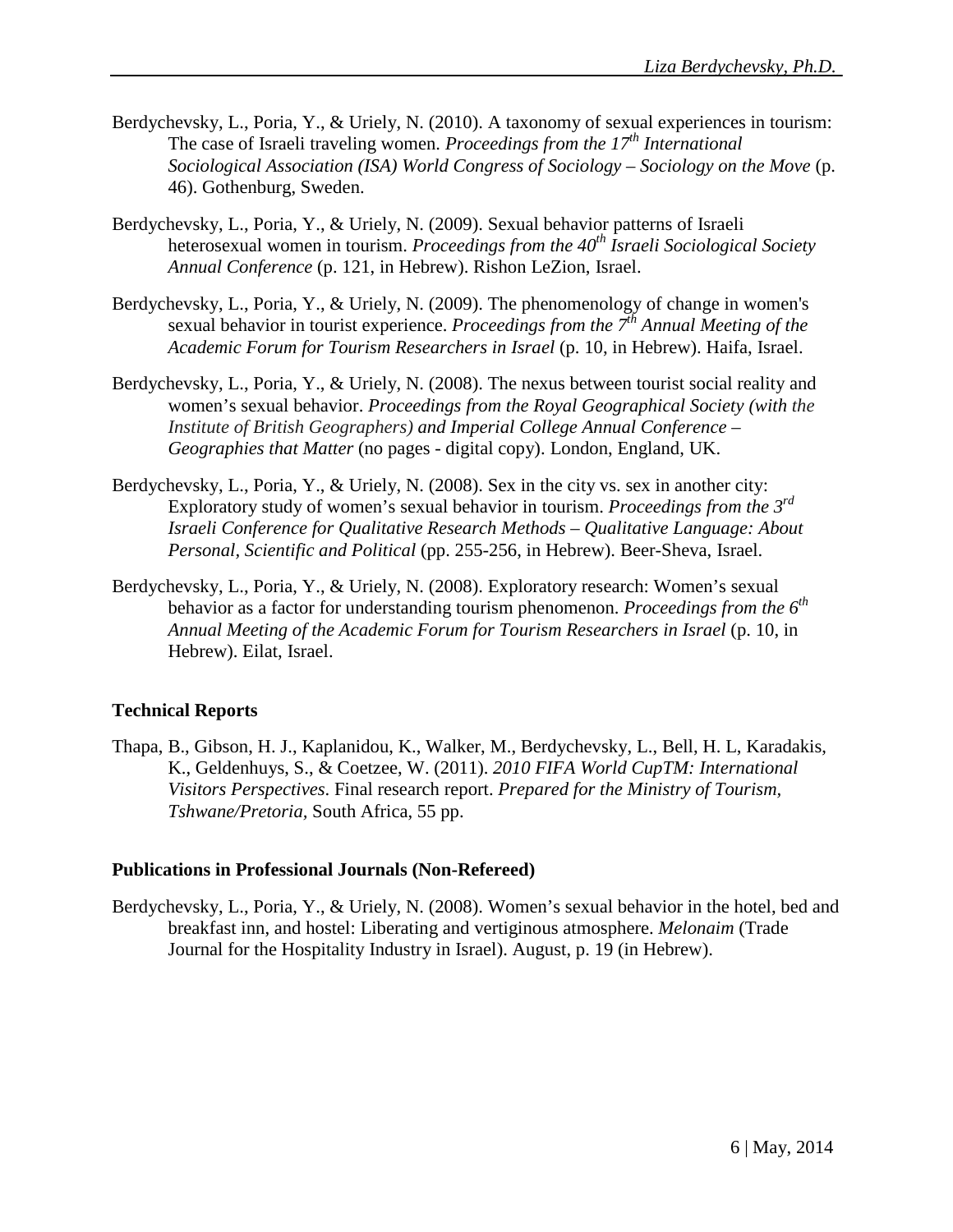- Berdychevsky, L., Poria, Y., & Uriely, N. (2010). A taxonomy of sexual experiences in tourism: The case of Israeli traveling women. *Proceedings from the 17th International Sociological Association (ISA) World Congress of Sociology – Sociology on the Move* (p. 46). Gothenburg, Sweden.
- Berdychevsky, L., Poria, Y., & Uriely, N. (2009). Sexual behavior patterns of Israeli heterosexual women in tourism. *Proceedings from the 40th Israeli Sociological Society Annual Conference* (p. 121, in Hebrew). Rishon LeZion, Israel.
- Berdychevsky, L., Poria, Y., & Uriely, N. (2009). The phenomenology of change in women's sexual behavior in tourist experience. *Proceedings from the 7th Annual Meeting of the Academic Forum for Tourism Researchers in Israel* (p. 10, in Hebrew). Haifa, Israel.
- Berdychevsky, L., Poria, Y., & Uriely, N. (2008). The nexus between tourist social reality and women's sexual behavior. *Proceedings from the Royal Geographical Society (with the Institute of British Geographers) and Imperial College Annual Conference – Geographies that Matter* (no pages - digital copy). London, England, UK.
- Berdychevsky, L., Poria, Y., & Uriely, N. (2008). Sex in the city vs. sex in another city: Exploratory study of women's sexual behavior in tourism. *Proceedings from the 3rd Israeli Conference for Qualitative Research Methods – Qualitative Language: About Personal, Scientific and Political* (pp. 255-256, in Hebrew). Beer-Sheva, Israel.
- Berdychevsky, L., Poria, Y., & Uriely, N. (2008). Exploratory research: Women's sexual behavior as a factor for understanding tourism phenomenon. *Proceedings from the 6th Annual Meeting of the Academic Forum for Tourism Researchers in Israel* (p. 10, in Hebrew). Eilat, Israel.

# **Technical Reports**

Thapa, B., Gibson, H. J., Kaplanidou, K., Walker, M., Berdychevsky, L., Bell, H. L, Karadakis, K., Geldenhuys, S., & Coetzee, W. (2011). *2010 FIFA World CupTM: International Visitors Perspectives*. Final research report. *Prepared for the Ministry of Tourism, Tshwane/Pretoria,* South Africa, 55 pp.

#### **Publications in Professional Journals (Non-Refereed)**

Berdychevsky, L., Poria, Y., & Uriely, N. (2008). Women's sexual behavior in the hotel, bed and breakfast inn, and hostel: Liberating and vertiginous atmosphere. *Melonaim* (Trade Journal for the Hospitality Industry in Israel). August, p. 19 (in Hebrew).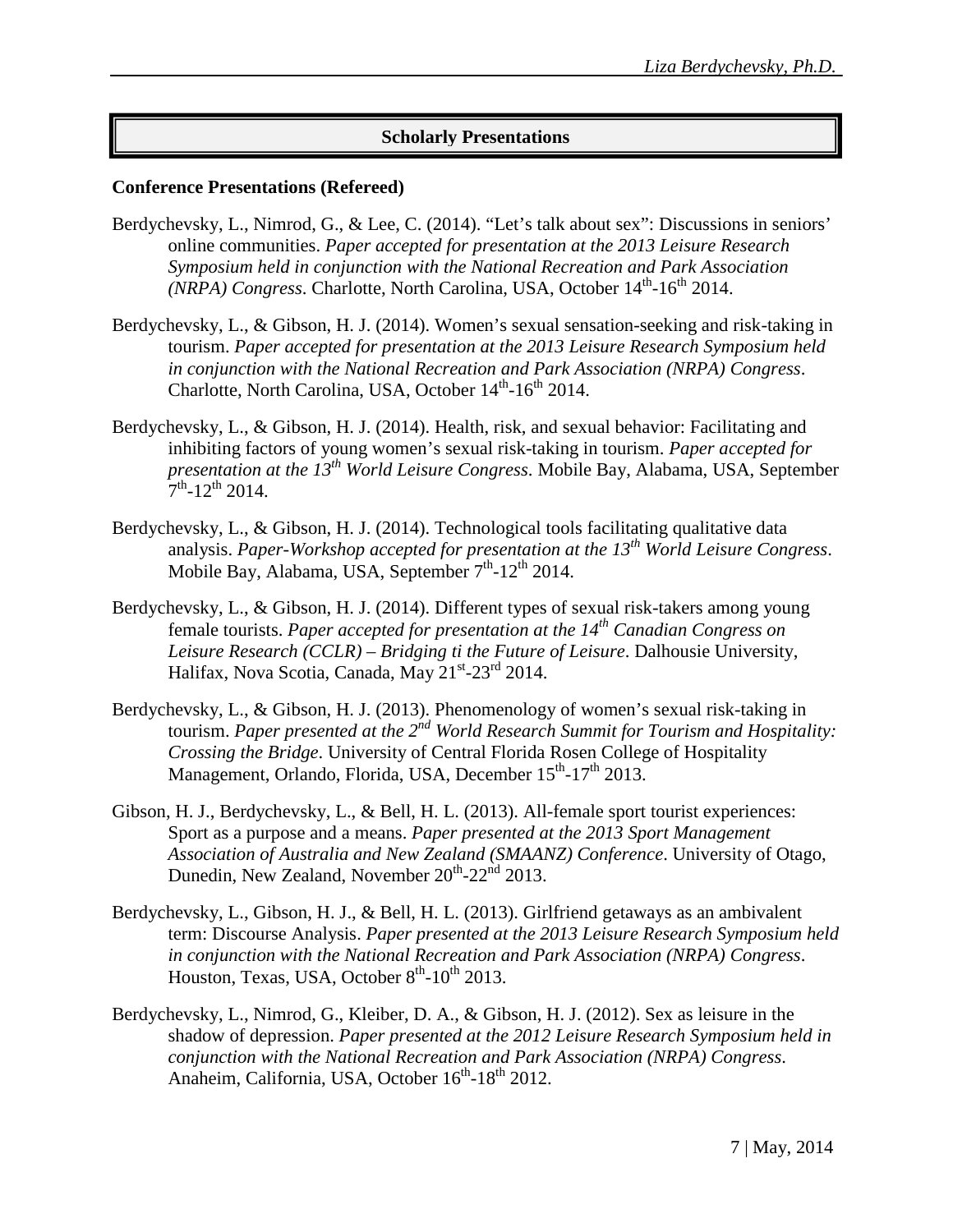# **Scholarly Presentations**

#### **Conference Presentations (Refereed)**

- Berdychevsky, L., Nimrod, G., & Lee, C. (2014). "Let's talk about sex": Discussions in seniors' online communities. *Paper accepted for presentation at the 2013 Leisure Research Symposium held in conjunction with the National Recreation and Park Association (NRPA) Congress.* Charlotte, North Carolina, USA, October 14<sup>th</sup>-16<sup>th</sup> 2014.
- Berdychevsky, L., & Gibson, H. J. (2014). Women's sexual sensation-seeking and risk-taking in tourism. *Paper accepted for presentation at the 2013 Leisure Research Symposium held in conjunction with the National Recreation and Park Association (NRPA) Congress*. Charlotte, North Carolina, USA, October  $14<sup>th</sup>$ -16<sup>th</sup> 2014.
- Berdychevsky, L., & Gibson, H. J. (2014). Health, risk, and sexual behavior: Facilitating and inhibiting factors of young women's sexual risk-taking in tourism. *Paper accepted for presentation at the 13th World Leisure Congress*. Mobile Bay, Alabama, USA, September  $7^{th}$ -12<sup>th</sup> 2014.
- Berdychevsky, L., & Gibson, H. J. (2014). Technological tools facilitating qualitative data analysis. *Paper-Workshop accepted for presentation at the 13th World Leisure Congress*. Mobile Bay, Alabama, USA, September  $7<sup>th</sup>$ -12<sup>th</sup> 2014.
- Berdychevsky, L., & Gibson, H. J. (2014). Different types of sexual risk-takers among young female tourists. *Paper accepted for presentation at the 14th Canadian Congress on Leisure Research (CCLR) – Bridging ti the Future of Leisure*. Dalhousie University, Halifax, Nova Scotia, Canada, May 21<sup>st</sup>-23<sup>rd</sup> 2014.
- Berdychevsky, L., & Gibson, H. J. (2013). Phenomenology of women's sexual risk-taking in tourism. *Paper presented at the 2nd World Research Summit for Tourism and Hospitality: Crossing the Bridge*. University of Central Florida Rosen College of Hospitality Management, Orlando, Florida, USA, December 15<sup>th</sup>-17<sup>th</sup> 2013.
- Gibson, H. J., Berdychevsky, L., & Bell, H. L. (2013). All-female sport tourist experiences: Sport as a purpose and a means. *Paper presented at the 2013 Sport Management Association of Australia and New Zealand (SMAANZ) Conference*. University of Otago, Dunedin, New Zealand, November  $20^{th}$ - $22^{nd}$  2013.
- Berdychevsky, L., Gibson, H. J., & Bell, H. L. (2013). Girlfriend getaways as an ambivalent term: Discourse Analysis. *Paper presented at the 2013 Leisure Research Symposium held in conjunction with the National Recreation and Park Association (NRPA) Congress*. Houston, Texas, USA, October 8<sup>th</sup>-10<sup>th</sup> 2013.
- Berdychevsky, L., Nimrod, G., Kleiber, D. A., & Gibson, H. J. (2012). Sex as leisure in the shadow of depression. *Paper presented at the 2012 Leisure Research Symposium held in conjunction with the National Recreation and Park Association (NRPA) Congress*. Anaheim, California, USA, October 16<sup>th</sup>-18<sup>th</sup> 2012.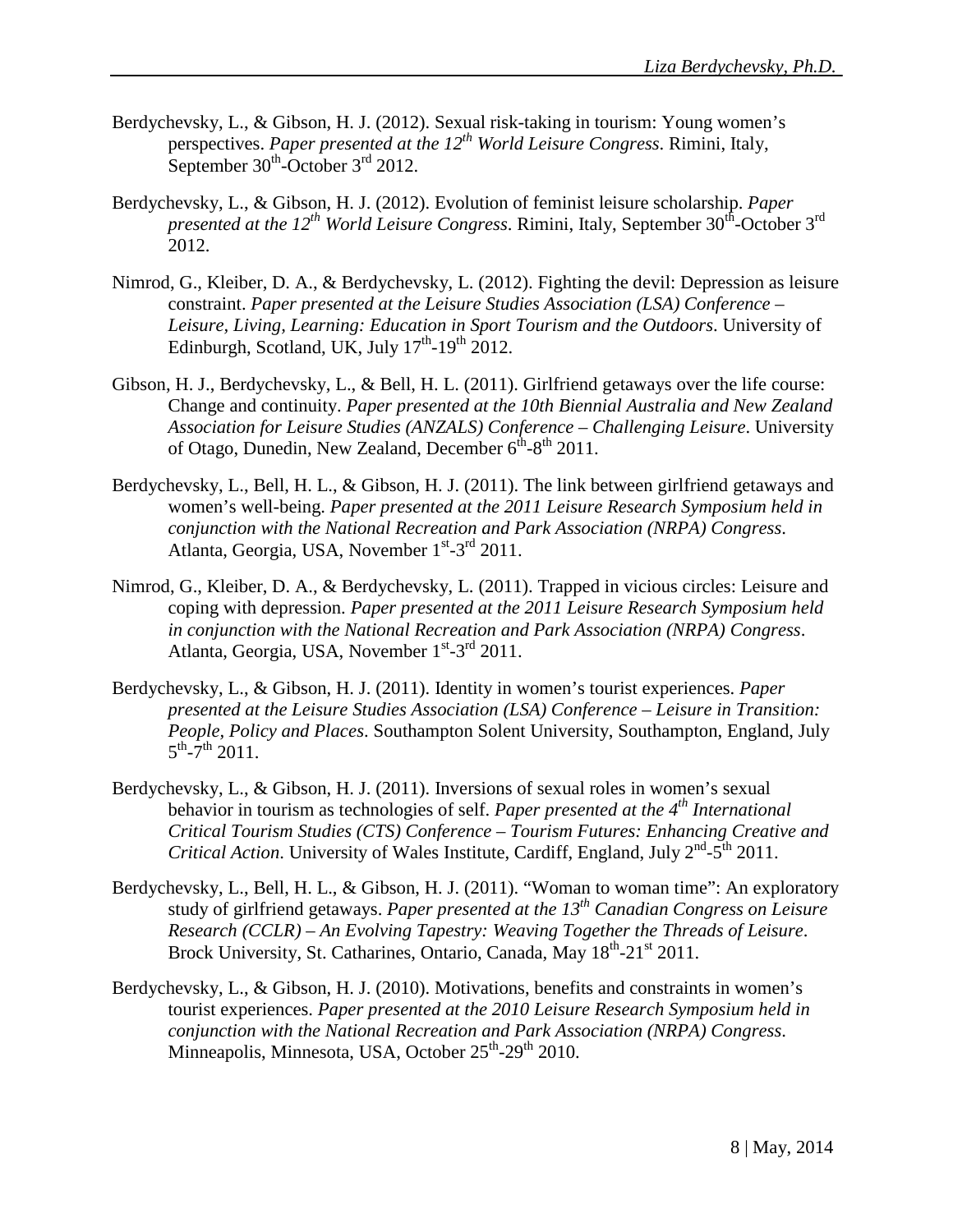- Berdychevsky, L., & Gibson, H. J. (2012). Sexual risk-taking in tourism: Young women's perspectives. *Paper presented at the 12th World Leisure Congress*. Rimini, Italy, September  $30^{\text{th}}$ -October  $3^{\text{rd}}$  2012.
- Berdychevsky, L., & Gibson, H. J. (2012). Evolution of feminist leisure scholarship. *Paper presented at the 12<sup>th</sup> World Leisure Congress*. Rimini, Italy, September 30<sup>th</sup>-October 3<sup>rd</sup> 2012.
- Nimrod, G., Kleiber, D. A., & Berdychevsky, L. (2012). Fighting the devil: Depression as leisure constraint. *Paper presented at the Leisure Studies Association (LSA) Conference – Leisure, Living, Learning: Education in Sport Tourism and the Outdoors*. University of Edinburgh, Scotland, UK, July  $17^{th}$ -19<sup>th</sup> 2012.
- Gibson, H. J., Berdychevsky, L., & Bell, H. L. (2011). Girlfriend getaways over the life course: Change and continuity. *Paper presented at the 10th Biennial Australia and New Zealand Association for Leisure Studies (ANZALS) Conference – Challenging Leisure*. University of Otago, Dunedin, New Zealand, December  $6^{th} - 8^{th}$  2011.
- Berdychevsky, L., Bell, H. L., & Gibson, H. J. (2011). The link between girlfriend getaways and women's well-being. *Paper presented at the 2011 Leisure Research Symposium held in conjunction with the National Recreation and Park Association (NRPA) Congress*. Atlanta, Georgia, USA, November 1<sup>st</sup>-3<sup>rd</sup> 2011.
- Nimrod, G., Kleiber, D. A., & Berdychevsky, L. (2011). Trapped in vicious circles: Leisure and coping with depression. *Paper presented at the 2011 Leisure Research Symposium held in conjunction with the National Recreation and Park Association (NRPA) Congress*. Atlanta, Georgia, USA, November 1<sup>st</sup>-3<sup>rd</sup> 2011.
- Berdychevsky, L., & Gibson, H. J. (2011). Identity in women's tourist experiences. *Paper presented at the Leisure Studies Association (LSA) Conference – [Leisure in Transition:](http://www.leisure-studies-association.info/LSAWEB/2011/Main.html)  [People, Policy and Places](http://www.leisure-studies-association.info/LSAWEB/2011/Main.html)*. Southampton Solent University, Southampton, England, July  $5^{\text{th}}$ -7<sup>th</sup> 2011.
- Berdychevsky, L., & Gibson, H. J. (2011). Inversions of sexual roles in women's sexual behavior in tourism as technologies of self. *Paper presented at the 4th International Critical Tourism Studies (CTS) Conference – Tourism Futures: Enhancing Creative and Critical Action*. University of Wales Institute, Cardiff, England, July  $2^{nd}$ -5<sup>th</sup> 2011.
- Berdychevsky, L., Bell, H. L., & Gibson, H. J. (2011). "Woman to woman time": An exploratory study of girlfriend getaways. *Paper presented at the 13th Canadian Congress on Leisure Research (CCLR) – An Evolving Tapestry: Weaving Together the Threads of Leisure*. Brock University, St. Catharines, Ontario, Canada, May  $18^{th}$ -21<sup>st</sup> 2011.
- Berdychevsky, L., & Gibson, H. J. (2010). Motivations, benefits and constraints in women's tourist experiences. *Paper presented at the 2010 Leisure Research Symposium held in conjunction with the National Recreation and Park Association (NRPA) Congress*. Minneapolis, Minnesota, USA, October  $25<sup>th</sup>$ -29<sup>th</sup> 2010.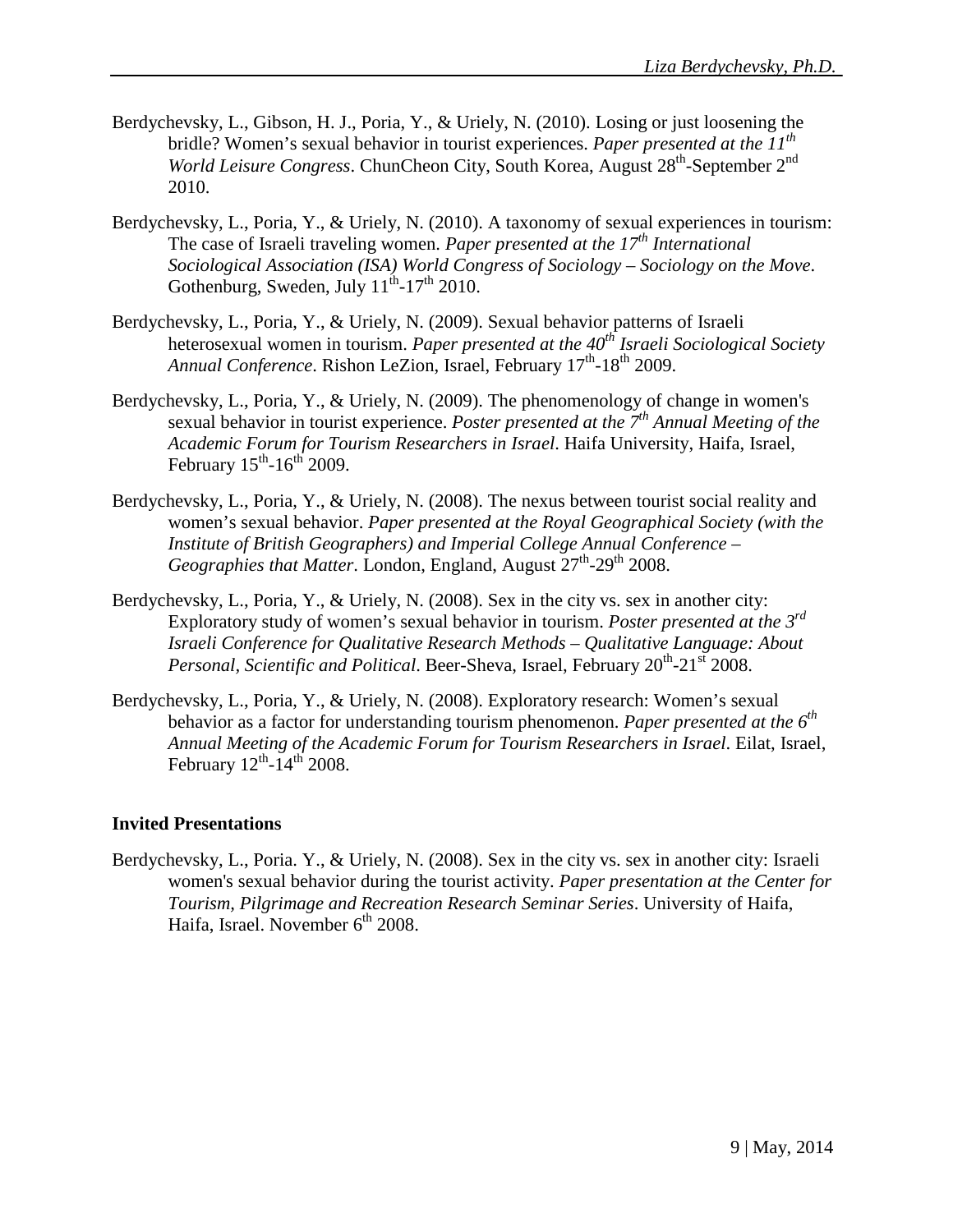- Berdychevsky, L., Gibson, H. J., Poria, Y., & Uriely, N. (2010). Losing or just loosening the bridle? Women's sexual behavior in tourist experiences. *Paper presented at the 11th World Leisure Congress*. ChunCheon City, South Korea, August 28<sup>th</sup>-September 2<sup>nd</sup> 2010.
- Berdychevsky, L., Poria, Y., & Uriely, N. (2010). A taxonomy of sexual experiences in tourism: The case of Israeli traveling women. *Paper presented at the 17th International Sociological Association (ISA) World Congress of Sociology – Sociology on the Move*. Gothenburg, Sweden, July  $11^{th}$ -17<sup>th</sup> 2010.
- Berdychevsky, L., Poria, Y., & Uriely, N. (2009). Sexual behavior patterns of Israeli heterosexual women in tourism. *Paper presented at the 40th Israeli Sociological Society Annual Conference*. Rishon LeZion, Israel, February 17<sup>th</sup>-18<sup>th</sup> 2009.
- Berdychevsky, L., Poria, Y., & Uriely, N. (2009). The phenomenology of change in women's sexual behavior in tourist experience. *Poster presented at the 7th Annual Meeting of the Academic Forum for Tourism Researchers in Israel*. Haifa University, Haifa, Israel, February  $15^{th}$ -16<sup>th</sup> 2009.
- Berdychevsky, L., Poria, Y., & Uriely, N. (2008). The nexus between tourist social reality and women's sexual behavior. *Paper presented at the Royal Geographical Society (with the Institute of British Geographers) and Imperial College Annual Conference – Geographies that Matter*. London, England, August 27<sup>th</sup>-29<sup>th</sup> 2008.
- Berdychevsky, L., Poria, Y., & Uriely, N. (2008). Sex in the city vs. sex in another city: Exploratory study of women's sexual behavior in tourism. *Poster presented at the 3rd Israeli Conference for Qualitative Research Methods – Qualitative Language: About Personal, Scientific and Political. Beer-Sheva, Israel, February 20<sup>th</sup>-21<sup>st</sup> 2008.*
- Berdychevsky, L., Poria, Y., & Uriely, N. (2008). Exploratory research: Women's sexual behavior as a factor for understanding tourism phenomenon. *Paper presented at the 6th Annual Meeting of the Academic Forum for Tourism Researchers in Israel*. Eilat, Israel, February  $12^{th}$ -14<sup>th</sup> 2008.

#### **Invited Presentations**

Berdychevsky, L., Poria. Y., & Uriely, N. (2008). Sex in the city vs. sex in another city: Israeli women's sexual behavior during the tourist activity. *Paper presentation at the Center for Tourism, Pilgrimage and Recreation Research Seminar Series*. University of Haifa, Haifa, Israel. November  $6^{th}$  2008.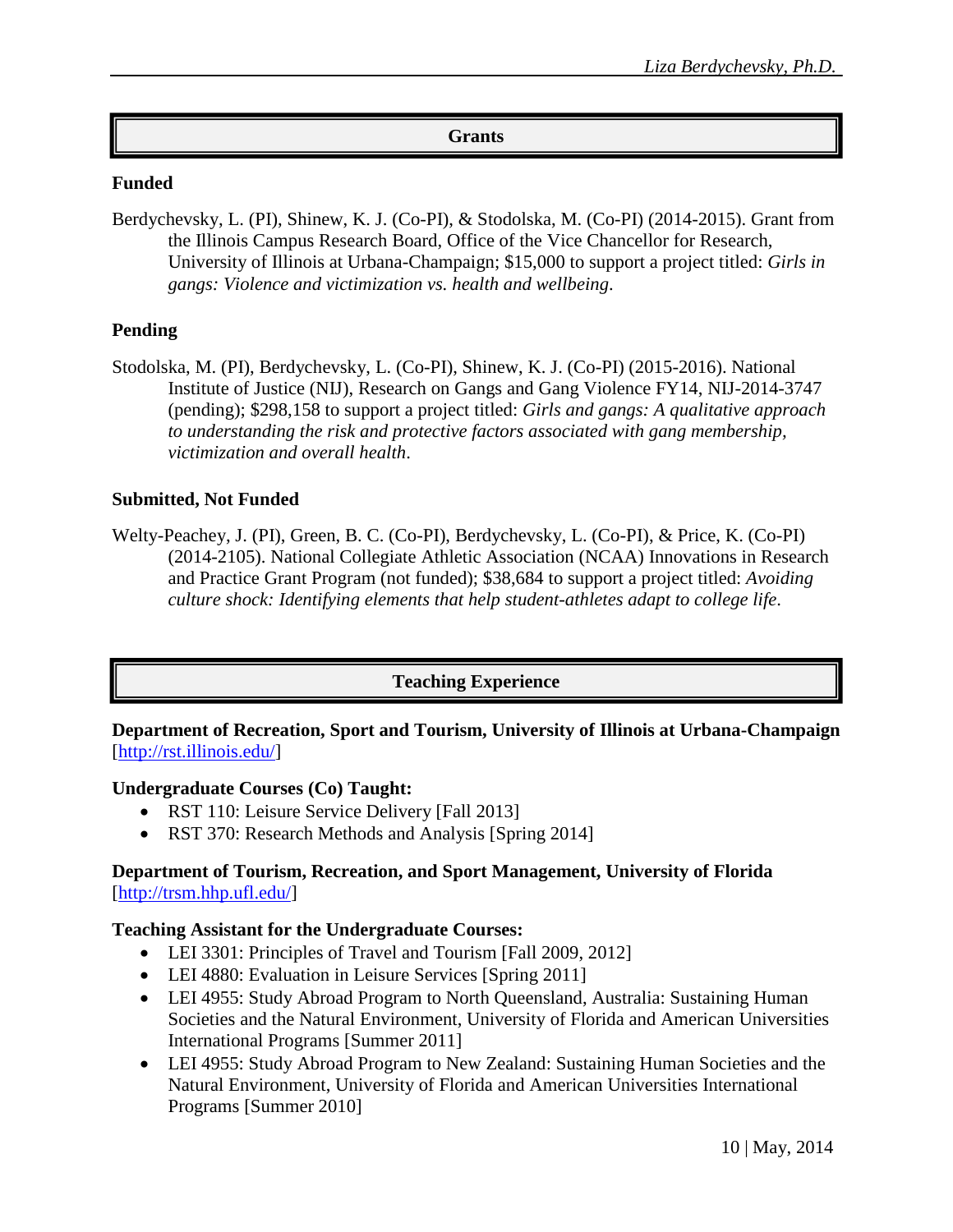### **Grants**

#### **Funded**

Berdychevsky, L. (PI), Shinew, K. J. (Co-PI), & Stodolska, M. (Co-PI) (2014-2015). Grant from the Illinois Campus Research Board, Office of the Vice Chancellor for Research, University of Illinois at Urbana-Champaign; \$15,000 to support a project titled: *Girls in gangs: Violence and victimization vs. health and wellbeing*.

# **Pending**

Stodolska, M. (PI), Berdychevsky, L. (Co-PI), Shinew, K. J. (Co-PI) (2015-2016). National Institute of Justice (NIJ), Research on Gangs and Gang Violence FY14, NIJ-2014-3747 (pending); \$298,158 to support a project titled: *Girls and gangs: A qualitative approach to understanding the risk and protective factors associated with gang membership, victimization and overall health*.

### **Submitted, Not Funded**

Welty-Peachey, J. (PI), Green, B. C. (Co-PI), Berdychevsky, L. (Co-PI), & Price, K. (Co-PI) (2014-2105). National Collegiate Athletic Association (NCAA) Innovations in Research and Practice Grant Program (not funded); \$38,684 to support a project titled: *Avoiding culture shock: Identifying elements that help student-athletes adapt to college life*.

# **Teaching Experience**

### **Department of Recreation, Sport and Tourism, University of Illinois at Urbana-Champaign** [http://rst.illinois.edu/]

#### **Undergraduate Courses (Co) Taught:**

- RST 110: Leisure Service Delivery [Fall 2013]
- RST 370: Research Methods and Analysis [Spring 2014]

### **Department of Tourism, Recreation, and Sport Management, University of Florida** [http://trsm.hhp.ufl.edu/]

#### **Teaching Assistant for the Undergraduate Courses:**

- LEI 3301: Principles of Travel and Tourism [Fall 2009, 2012]
- LEI 4880: Evaluation in Leisure Services [Spring 2011]
- LEI 4955: Study Abroad Program to North Queensland, Australia: Sustaining Human Societies and the Natural Environment, University of Florida and American Universities International Programs [Summer 2011]
- LEI 4955: Study Abroad Program to New Zealand: Sustaining Human Societies and the Natural Environment, University of Florida and American Universities International Programs [Summer 2010]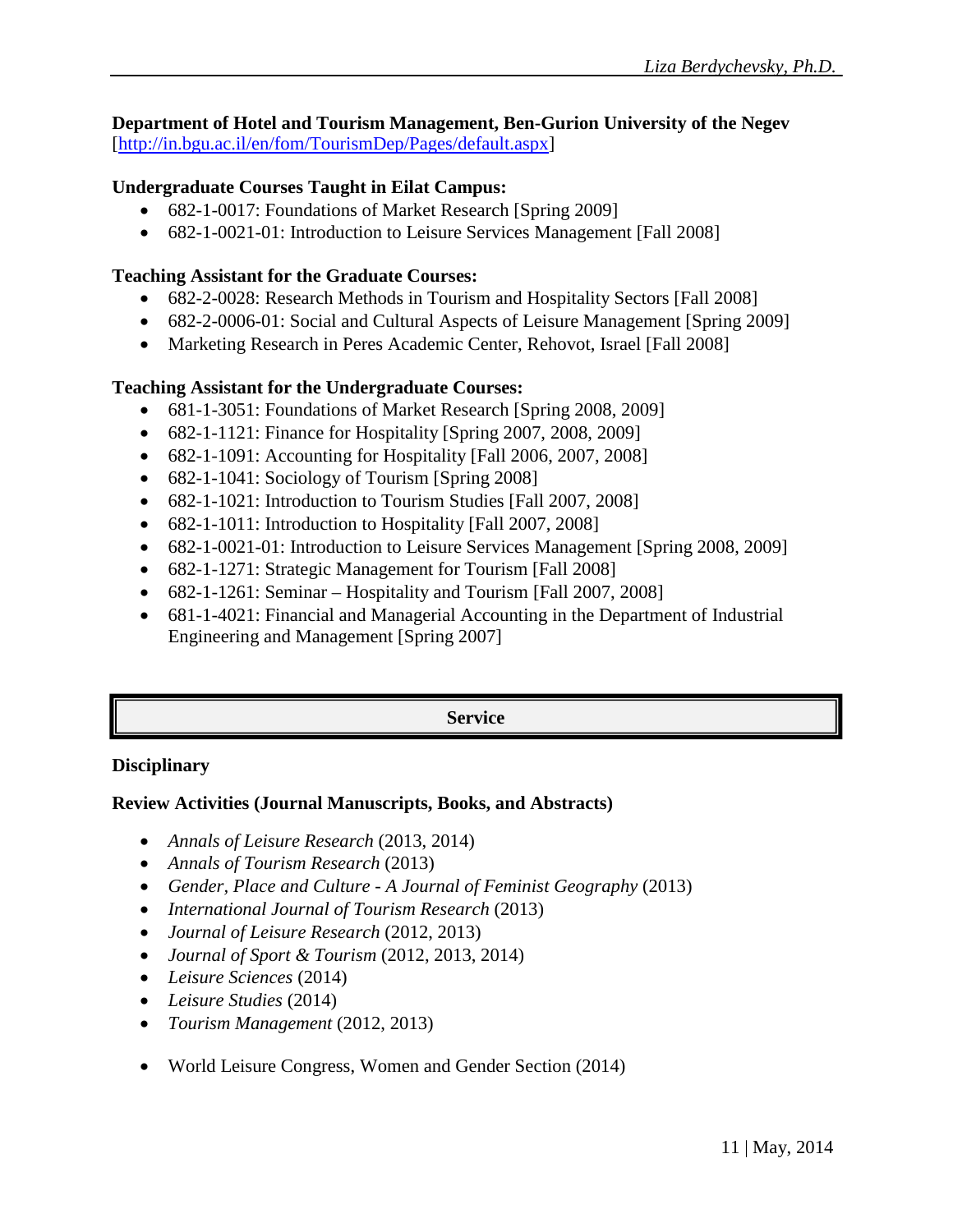**Department of Hotel and Tourism Management, Ben-Gurion University of the Negev** [http://in.bgu.ac.il/en/fom/TourismDep/Pages/default.aspx]

# **Undergraduate Courses Taught in Eilat Campus:**

- 682-1-0017: Foundations of Market Research [Spring 2009]
- 682-1-0021-01: Introduction to Leisure Services Management [Fall 2008]

# **Teaching Assistant for the Graduate Courses:**

- 682-2-0028: Research Methods in Tourism and Hospitality Sectors [Fall 2008]
- 682-2-0006-01: Social and Cultural Aspects of Leisure Management [Spring 2009]
- Marketing Research in Peres Academic Center, Rehovot, Israel [Fall 2008]

# **Teaching Assistant for the Undergraduate Courses:**

- 681-1-3051: Foundations of Market Research [Spring 2008, 2009]
- 682-1-1121: Finance for Hospitality [Spring 2007, 2008, 2009]
- 682-1-1091: Accounting for Hospitality [Fall 2006, 2007, 2008]
- 682-1-1041: Sociology of Tourism [Spring 2008]
- 682-1-1021: Introduction to Tourism Studies [Fall 2007, 2008]
- 682-1-1011: Introduction to Hospitality [Fall 2007, 2008]
- 682-1-0021-01: Introduction to Leisure Services Management [Spring 2008, 2009]
- 682-1-1271: Strategic Management for Tourism [Fall 2008]
- 682-1-1261: Seminar Hospitality and Tourism [Fall 2007, 2008]
- 681-1-4021: Financial and Managerial Accounting in the Department of Industrial Engineering and Management [Spring 2007]

# **Service**

#### **Disciplinary**

# **Review Activities (Journal Manuscripts, Books, and Abstracts)**

- *Annals of Leisure Research* (2013, 2014)
- *Annals of Tourism Research* (2013)
- *Gender, Place and Culture - A Journal of Feminist Geography* (2013)
- *International Journal of Tourism Research* (2013)
- *Journal of Leisure Research* (2012, 2013)
- *Journal of Sport & Tourism* (2012, 2013, 2014)
- *Leisure Sciences* (2014)
- *Leisure Studies* (2014)
- *Tourism Management* (2012, 2013)
- World Leisure Congress, Women and Gender Section (2014)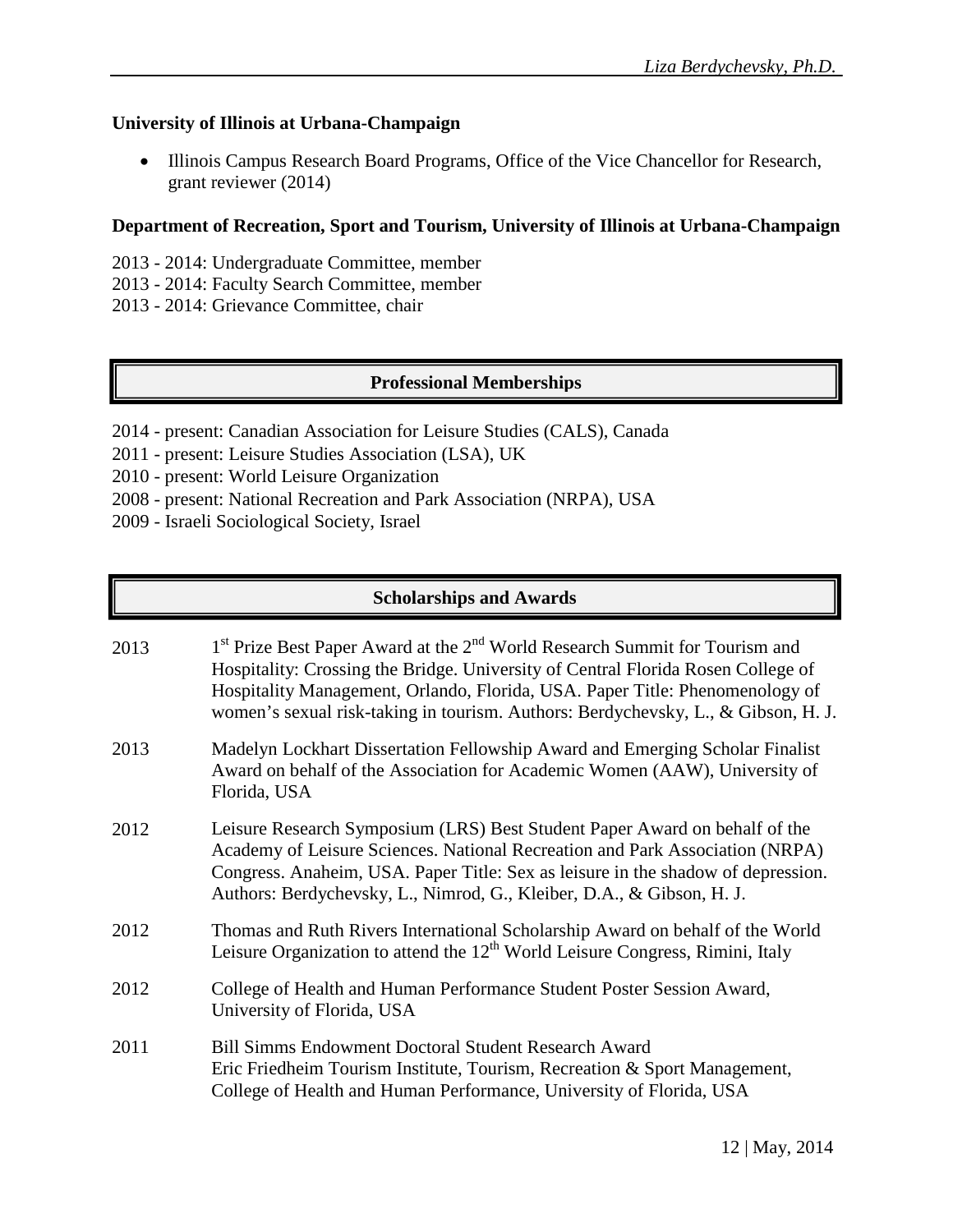# **University of Illinois at Urbana-Champaign**

• Illinois Campus Research Board Programs, Office of the Vice Chancellor for Research, grant reviewer (2014)

### **Department of Recreation, Sport and Tourism, University of Illinois at Urbana-Champaign**

- 2013 2014: Undergraduate Committee, member
- 2013 2014: Faculty Search Committee, member
- 2013 2014: Grievance Committee, chair

# **Professional Memberships**

- 2014 present: Canadian Association for Leisure Studies (CALS), Canada
- 2011 present: Leisure Studies Association (LSA), UK
- 2010 present: World Leisure Organization
- 2008 present: National Recreation and Park Association (NRPA), USA
- 2009 Israeli Sociological Society, Israel

# **Scholarships and Awards**

| 2013 | 1 <sup>st</sup> Prize Best Paper Award at the 2 <sup>nd</sup> World Research Summit for Tourism and<br>Hospitality: Crossing the Bridge. University of Central Florida Rosen College of<br>Hospitality Management, Orlando, Florida, USA. Paper Title: Phenomenology of<br>women's sexual risk-taking in tourism. Authors: Berdychevsky, L., & Gibson, H. J. |  |
|------|--------------------------------------------------------------------------------------------------------------------------------------------------------------------------------------------------------------------------------------------------------------------------------------------------------------------------------------------------------------|--|
| 2013 | Madelyn Lockhart Dissertation Fellowship Award and Emerging Scholar Finalist<br>Award on behalf of the Association for Academic Women (AAW), University of<br>Florida, USA                                                                                                                                                                                   |  |
| 2012 | Leisure Research Symposium (LRS) Best Student Paper Award on behalf of the<br>Academy of Leisure Sciences. National Recreation and Park Association (NRPA)<br>Congress. Anaheim, USA. Paper Title: Sex as leisure in the shadow of depression.<br>Authors: Berdychevsky, L., Nimrod, G., Kleiber, D.A., & Gibson, H. J.                                      |  |
| 2012 | Thomas and Ruth Rivers International Scholarship Award on behalf of the World<br>Leisure Organization to attend the $12th$ World Leisure Congress, Rimini, Italy                                                                                                                                                                                             |  |
| 2012 | College of Health and Human Performance Student Poster Session Award,<br>University of Florida, USA                                                                                                                                                                                                                                                          |  |
| 2011 | <b>Bill Simms Endowment Doctoral Student Research Award</b><br>Eric Friedheim Tourism Institute, Tourism, Recreation & Sport Management,<br>College of Health and Human Performance, University of Florida, USA                                                                                                                                              |  |